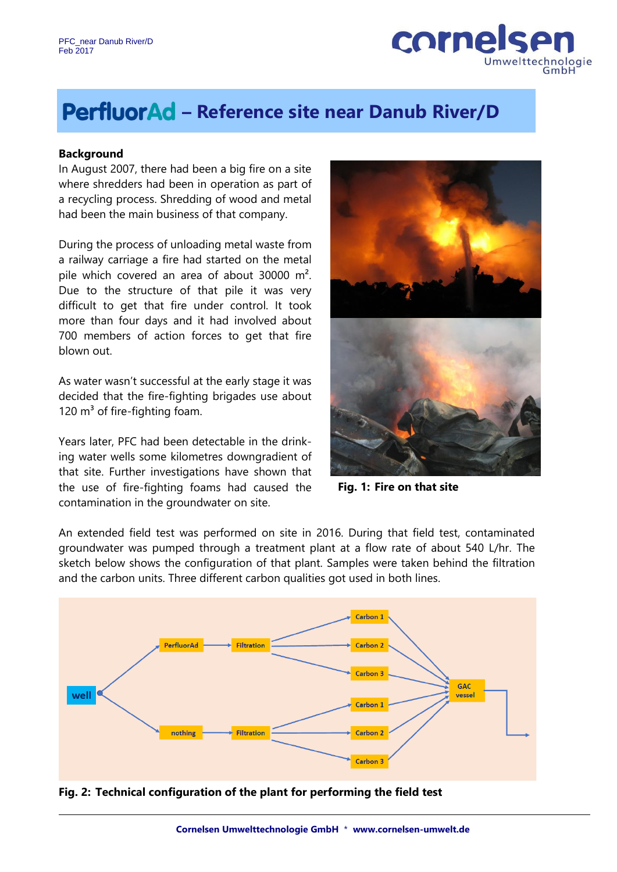

# **– Reference site near Danub River/D**

#### **Background**

In August 2007, there had been a big fire on a site where shredders had been in operation as part of a recycling process. Shredding of wood and metal had been the main business of that company.

During the process of unloading metal waste from a railway carriage a fire had started on the metal pile which covered an area of about 30000 m². Due to the structure of that pile it was very difficult to get that fire under control. It took more than four days and it had involved about 700 members of action forces to get that fire blown out.

As water wasn't successful at the early stage it was decided that the fire-fighting brigades use about 120  $m<sup>3</sup>$  of fire-fighting foam.

Years later, PFC had been detectable in the drinking water wells some kilometres downgradient of that site. Further investigations have shown that the use of fire-fighting foams had caused the contamination in the groundwater on site.



**Fig. 1: Fire on that site**

An extended field test was performed on site in 2016. During that field test, contaminated groundwater was pumped through a treatment plant at a flow rate of about 540 L/hr. The sketch below shows the configuration of that plant. Samples were taken behind the filtration and the carbon units. Three different carbon qualities got used in both lines.



#### **Fig. 2: Technical configuration of the plant for performing the field test**